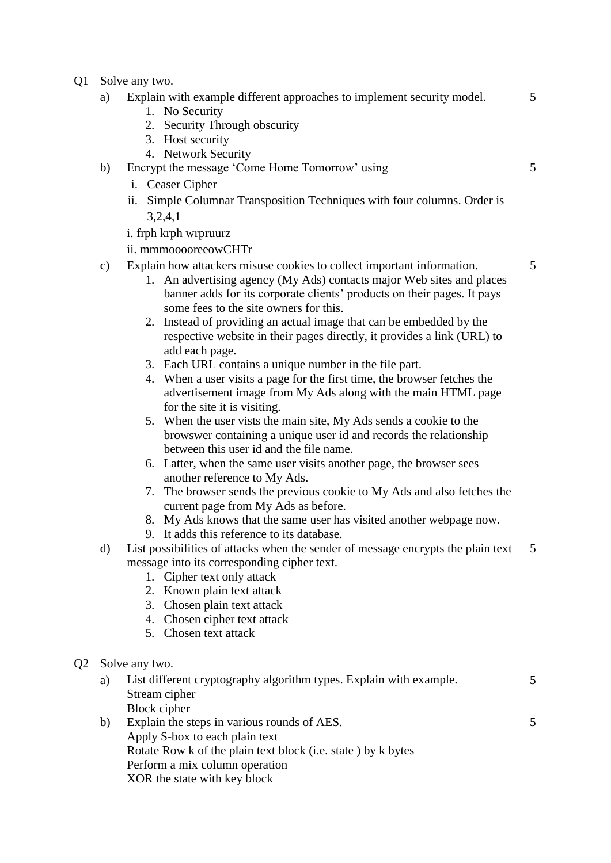- Q1 Solve any two.
	- a) Explain with example different approaches to implement security model.
		- 1. No Security
		- 2. Security Through obscurity
		- 3. Host security
		- 4. Network Security
	- b) Encrypt the message 'Come Home Tomorrow' using
		- i. Ceaser Cipher
		- ii. Simple Columnar Transposition Techniques with four columns. Order is 3,2,4,1
		- i. frph krph wrpruurz
		- ii. mmmooooreeowCHTr
	- c) Explain how attackers misuse cookies to collect important information.
		- 1. An advertising agency (My Ads) contacts major Web sites and places banner adds for its corporate clients' products on their pages. It pays some fees to the site owners for this.
		- 2. Instead of providing an actual image that can be embedded by the respective website in their pages directly, it provides a link (URL) to add each page.
		- 3. Each URL contains a unique number in the file part.
		- 4. When a user visits a page for the first time, the browser fetches the advertisement image from My Ads along with the main HTML page for the site it is visiting.
		- 5. When the user vists the main site, My Ads sends a cookie to the browswer containing a unique user id and records the relationship between this user id and the file name.
		- 6. Latter, when the same user visits another page, the browser sees another reference to My Ads.
		- 7. The browser sends the previous cookie to My Ads and also fetches the current page from My Ads as before.
		- 8. My Ads knows that the same user has visited another webpage now.
		- 9. It adds this reference to its database.
	- d) List possibilities of attacks when the sender of message encrypts the plain text message into its corresponding cipher text. 5
		- 1. Cipher text only attack
		- 2. Known plain text attack
		- 3. Chosen plain text attack
		- 4. Chosen cipher text attack
		- 5. Chosen text attack
- Q2 Solve any two.

|    | a) List different cryptography algorithm types. Explain with example. |  |
|----|-----------------------------------------------------------------------|--|
|    | Stream cipher                                                         |  |
|    | Block cipher                                                          |  |
| b) | Explain the steps in various rounds of AES.                           |  |

b) Explain the steps in various rounds of AES. Apply S-box to each plain text Rotate Row k of the plain text block (i.e. state ) by k bytes Perform a mix column operation XOR the state with key block

5

5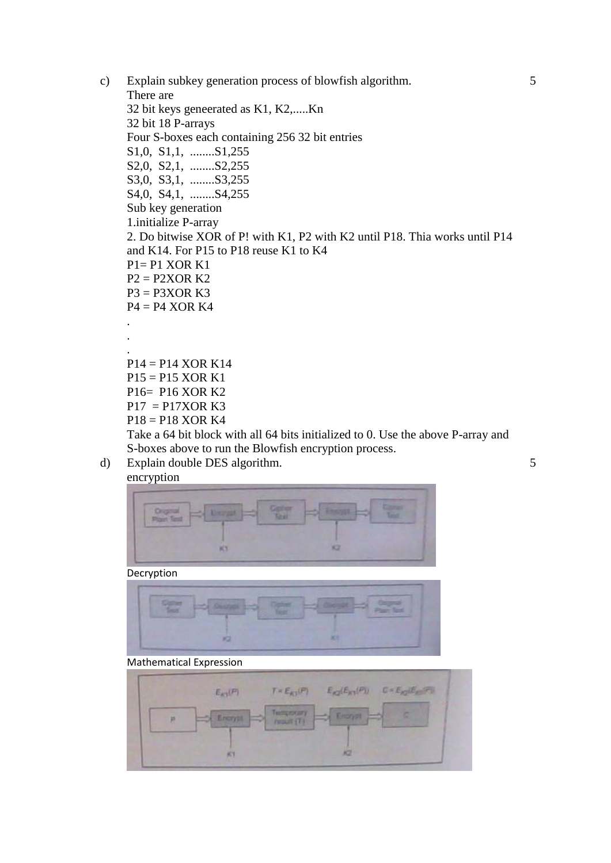- c) Explain subkey generation process of blowfish algorithm. There are 32 bit keys geneerated as K1, K2,.....Kn 32 bit 18 P-arrays Four S-boxes each containing 256 32 bit entries S1,0, S1,1, ........S1,255 S2,0, S2,1, ........S2,255 S3,0, S3,1, ........S3,255 S4,0, S4,1, ........S4,255 Sub key generation 1.initialize P-array 2. Do bitwise XOR of P! with K1, P2 with K2 until P18. Thia works until P14 and K14. For P15 to P18 reuse K1 to K4  $P1 = P1$  XOR K1  $P2 = P2XOR K2$  $P3 = P3XOR K3$  $P4 = P4 XOR K4$ . . . P14 = P14 XOR K14  $P15 = P15 XOR K1$ P16= P16 XOR K2  $P17 = P17XOR K3$ P18 = P18 XOR K4 Take a 64 bit block with all 64 bits initialized to 0. Use the above P-array and
	- S-boxes above to run the Blowfish encryption process.

## d) Explain double DES algorithm.

encryption



Decryption



## Mathematical Expression

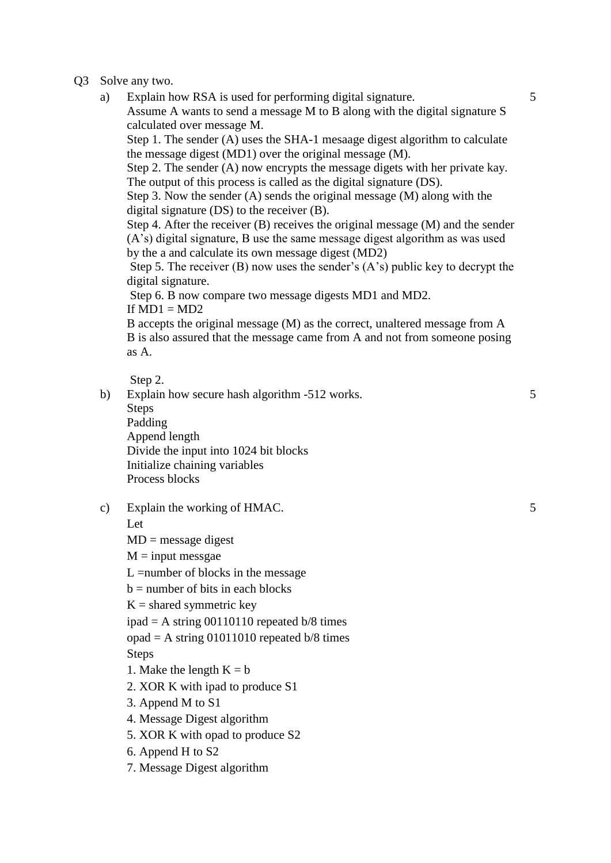- Q3 Solve any two.
	- a) Explain how RSA is used for performing digital signature. Assume A wants to send a message M to B along with the digital signature S calculated over message M.

Step 1. The sender (A) uses the SHA-1 mesaage digest algorithm to calculate the message digest (MD1) over the original message (M).

Step 2. The sender (A) now encrypts the message digets with her private kay. The output of this process is called as the digital signature (DS).

Step 3. Now the sender (A) sends the original message (M) along with the digital signature (DS) to the receiver (B).

Step 4. After the receiver (B) receives the original message (M) and the sender (A's) digital signature, B use the same message digest algorithm as was used by the a and calculate its own message digest (MD2)

Step 5. The receiver (B) now uses the sender's (A's) public key to decrypt the digital signature.

Step 6. B now compare two message digests MD1 and MD2.

If  $MD1 = MD2$ 

B accepts the original message (M) as the correct, unaltered message from A B is also assured that the message came from A and not from someone posing as A.

Step 2.

b) Explain how secure hash algorithm -512 works. Steps Padding Append length Divide the input into 1024 bit blocks Initialize chaining variables Process blocks

c) Explain the working of HMAC.

Let

 $MD = message$  digest

 $M = input message$ 

L =number of blocks in the message

 $b =$  number of bits in each blocks

 $K =$  shared symmetric key

ipad  $=$  A string 00110110 repeated b/8 times

opad = A string  $01011010$  repeated b/8 times

Steps

1. Make the length  $K = b$ 

2. XOR K with ipad to produce S1

3. Append M to S1

4. Message Digest algorithm

5. XOR K with opad to produce S2

6. Append H to S2

7. Message Digest algorithm

5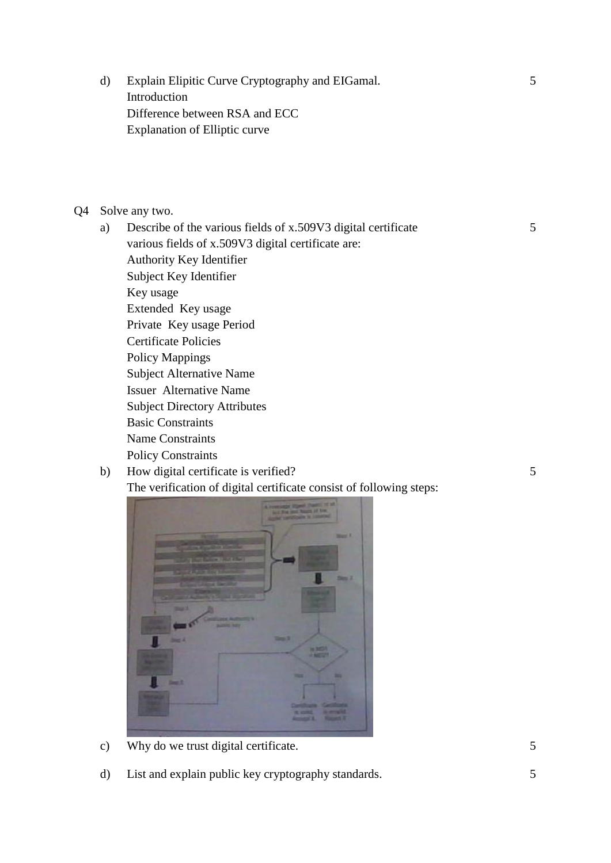d) Explain Elipitic Curve Cryptography and EIGamal. Introduction Difference between RSA and ECC Explanation of Elliptic curve

## Q4 Solve any two.

- a) Describe of the various fields of x.509V3 digital certificate various fields of x.509V3 digital certificate are: Authority Key Identifier Subject Key Identifier Key usage Extended Key usage Private Key usage Period Certificate Policies Policy Mappings Subject Alternative Name Issuer Alternative Name Subject Directory Attributes Basic Constraints Name Constraints Policy Constraints
- b) How digital certificate is verified? The verification of digital certificate consist of following steps:



- c) Why do we trust digital certificate. 5
- d) List and explain public key cryptography standards. 5

5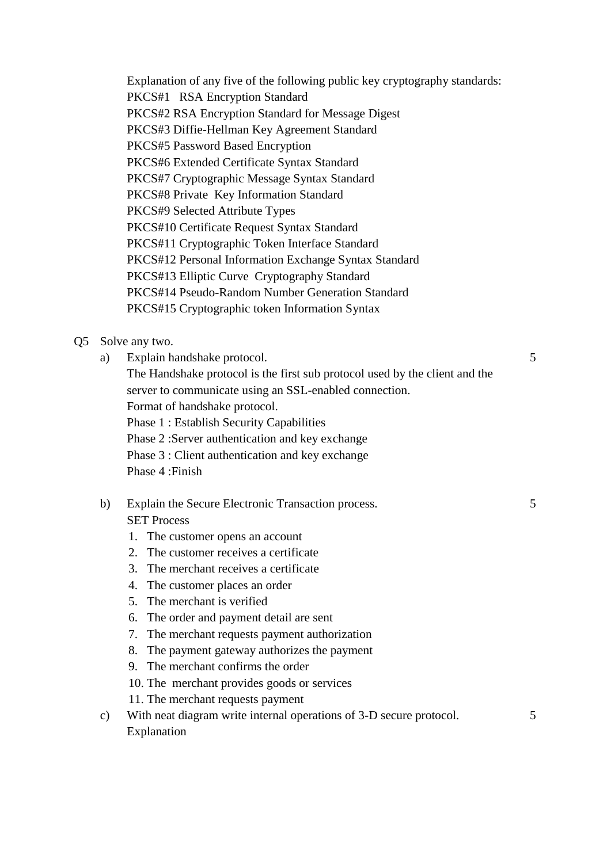Explanation of any five of the following public key cryptography standards: PKCS#1 RSA Encryption Standard PKCS#2 RSA Encryption Standard for Message Digest PKCS#3 Diffie-Hellman Key Agreement Standard PKCS#5 Password Based Encryption PKCS#6 Extended Certificate Syntax Standard PKCS#7 Cryptographic Message Syntax Standard PKCS#8 Private Key Information Standard PKCS#9 Selected Attribute Types PKCS#10 Certificate Request Syntax Standard PKCS#11 Cryptographic Token Interface Standard PKCS#12 Personal Information Exchange Syntax Standard PKCS#13 Elliptic Curve Cryptography Standard PKCS#14 Pseudo-Random Number Generation Standard PKCS#15 Cryptographic token Information Syntax

Q5 Solve any two.

| a) | Explain handshake protocol.                                                 |
|----|-----------------------------------------------------------------------------|
|    | The Handshake protocol is the first sub protocol used by the client and the |
|    | server to communicate using an SSL-enabled connection.                      |
|    | Format of handshake protocol.                                               |
|    | <b>Phase 1: Establish Security Capabilities</b>                             |
|    | Phase 2: Server authentication and key exchange                             |
|    | Phase 3 : Client authentication and key exchange                            |
|    | Phase 4: Finish                                                             |
|    |                                                                             |

5

5

- b) Explain the Secure Electronic Transaction process. SET Process
	- 1. The customer opens an account
	- 2. The customer receives a certificate
	- 3. The merchant receives a certificate
	- 4. The customer places an order
	- 5. The merchant is verified
	- 6. The order and payment detail are sent
	- 7. The merchant requests payment authorization
	- 8. The payment gateway authorizes the payment
	- 9. The merchant confirms the order
	- 10. The merchant provides goods or services
	- 11. The merchant requests payment
- c) With neat diagram write internal operations of 3-D secure protocol. Explanation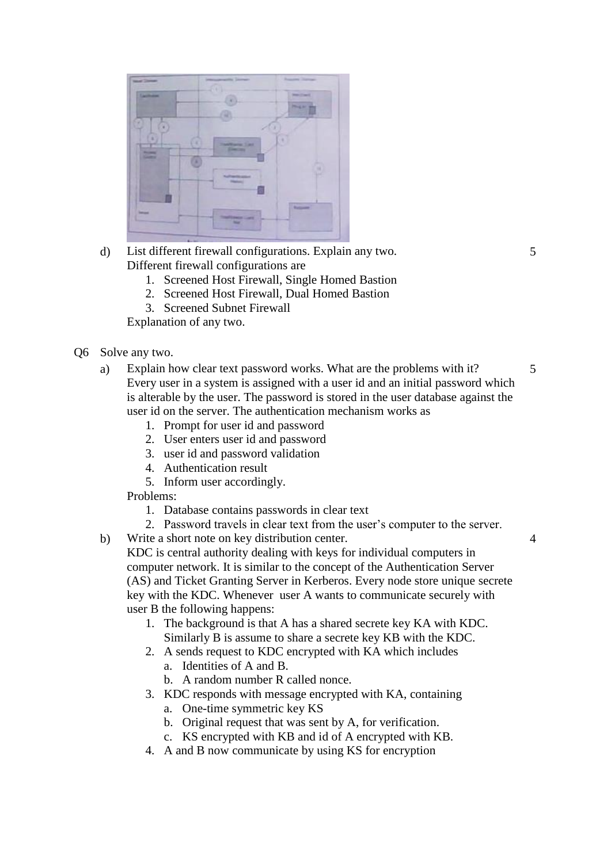| <b>North Corner</b><br><b><i><u>Lacitorist</u></i></b> | imousname@izman                                            | <b>Regions Stations</b><br><b>MACOWE</b> |
|--------------------------------------------------------|------------------------------------------------------------|------------------------------------------|
| ٠                                                      | ٠                                                          | <b>Phone Ave</b><br>-                    |
| ١<br><b>Property</b>                                   | <b>Sant</b><br>-                                           | a<br>×                                   |
| <b>Gentleman</b><br>×                                  | <b><i><u>College Manufacture</u></i></b><br><b>Painter</b> | ٠                                        |
|                                                        |                                                            | <b>Rotardon</b>                          |
| <b>Terrant</b>                                         | m<br>w                                                     |                                          |

- d) List different firewall configurations. Explain any two. Different firewall configurations are
	- 1. Screened Host Firewall, Single Homed Bastion
	- 2. Screened Host Firewall, Dual Homed Bastion
	- 3. Screened Subnet Firewall

Explanation of any two.

- Q6 Solve any two.
	- a) Explain how clear text password works. What are the problems with it? Every user in a system is assigned with a user id and an initial password which is alterable by the user. The password is stored in the user database against the user id on the server. The authentication mechanism works as 5
		- 1. Prompt for user id and password
		- 2. User enters user id and password
		- 3. user id and password validation
		- 4. Authentication result
		- 5. Inform user accordingly.

Problems:

- 1. Database contains passwords in clear text
- 2. Password travels in clear text from the user's computer to the server.
- b) Write a short note on key distribution center.

KDC is central authority dealing with keys for individual computers in computer network. It is similar to the concept of the Authentication Server (AS) and Ticket Granting Server in Kerberos. Every node store unique secrete key with the KDC. Whenever user A wants to communicate securely with user B the following happens:

- 1. The background is that A has a shared secrete key KA with KDC. Similarly B is assume to share a secrete key KB with the KDC.
- 2. A sends request to KDC encrypted with KA which includes
	- a. Identities of A and B.
	- b. A random number R called nonce.
- 3. KDC responds with message encrypted with KA, containing
	- a. One-time symmetric key KS
	- b. Original request that was sent by A, for verification.
	- c. KS encrypted with KB and id of A encrypted with KB.
- 4. A and B now communicate by using KS for encryption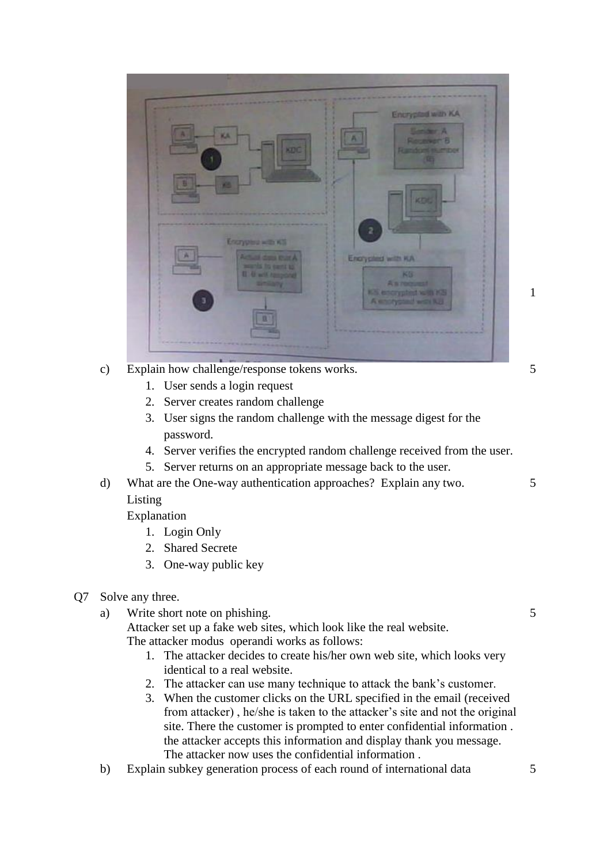

- c) Explain how challenge/response tokens works.
	- 1. User sends a login request
	- 2. Server creates random challenge
	- 3. User signs the random challenge with the message digest for the password.
	- 4. Server verifies the encrypted random challenge received from the user.
	- 5. Server returns on an appropriate message back to the user.
- d) What are the One-way authentication approaches? Explain any two. Listing
	- Explanation
		- 1. Login Only
		- 2. Shared Secrete
		- 3. One-way public key
- Q7 Solve any three.
	- a) Write short note on phishing.

Attacker set up a fake web sites, which look like the real website. The attacker modus operandi works as follows:

- 1. The attacker decides to create his/her own web site, which looks very identical to a real website.
- 2. The attacker can use many technique to attack the bank's customer.
- 3. When the customer clicks on the URL specified in the email (received from attacker) , he/she is taken to the attacker's site and not the original site. There the customer is prompted to enter confidential information . the attacker accepts this information and display thank you message. The attacker now uses the confidential information .
- b) Explain subkey generation process of each round of international data 5

1

5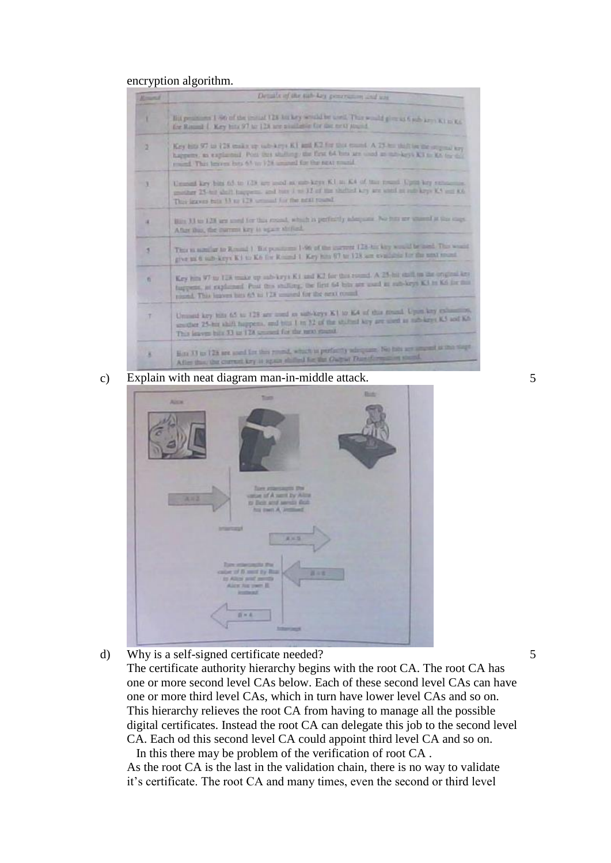## encryption algorithm.

| <b>Rosent</b> | Details of the tab key generation and late                                                                                                                                                                                                                               |
|---------------|--------------------------------------------------------------------------------------------------------------------------------------------------------------------------------------------------------------------------------------------------------------------------|
|               | Hit personnel 1-86 of the initial 128 birthey would be used. This would give us 6 sub arm Ki in Ko.<br>for Ritual 1 Key bits 97 to 128 are available for the next stand.                                                                                                 |
| ×             | Key hits 97 to 128 make up out-keys KI and K2 for this round. A 23-to this be the support key<br>happens, as explanted. Post this shalling the first 64 bits are used as into keys K3 to K6 to do.<br>trained. This between bots 6.5 to: 924 unusual for the next manual |
|               | Unusual key bits 65 to 129 are load as sub-keys K1 to K4 of this town! Upta key remains.<br>generators 25-test about traceporms, and turn it we 12 of the whether keep are annil on suite keep KA and KG.<br>Their letters buts 3.5 no 123 percent for the next resent.  |
|               | Him 3.1 to 1.28 are used for this recent, which is perfectly adequate. No first are spared at this caps.<br>After this, the current key is ugain striked.                                                                                                                |
| s.            | This is nothing to Research Ent positions 1-96 of the inscreen 128-to: key would be med. This would<br>give us 6 individuals in the K6 for Round 1. Key him 97 to 128 am evaluate for the unit must                                                                      |
| 板             | Key him 97 to 128 trails up sub-keys K1 and K2 for this round. A 25-hill shift in the original key<br>facepoint, an explained Post this studiery, the first 64 bits are used as sub-keys K3 in K4 for this<br>round. This leaves buy 65 to 128 smooth for the next count |
|               | Unusunt key bits 65 to 128 are used as sub-keys K1 to K4 of this muzil. Upon key exhausting<br>souther 25-hir shift happens, and bits 1 to 32 of the stalled key are used as natisizes K5 and K6<br>This leaves bills 33 to 12A second for the next mast                 |
|               | Hote 33 to 128 are used for this result, which is perfectly adequate. No hits are amount to this stage<br>After that the current key is again shifted for the Output David reading stand.                                                                                |

c) Explain with neat diagram man-in-middle attack. 5



d) Why is a self-signed certificate needed? The certificate authority hierarchy begins with the root CA. The root CA has one or more second level CAs below. Each of these second level CAs can have one or more third level CAs, which in turn have lower level CAs and so on. This hierarchy relieves the root CA from having to manage all the possible digital certificates. Instead the root CA can delegate this job to the second level CA. Each od this second level CA could appoint third level CA and so on.

In this there may be problem of the verification of root CA . As the root CA is the last in the validation chain, there is no way to validate it's certificate. The root CA and many times, even the second or third level